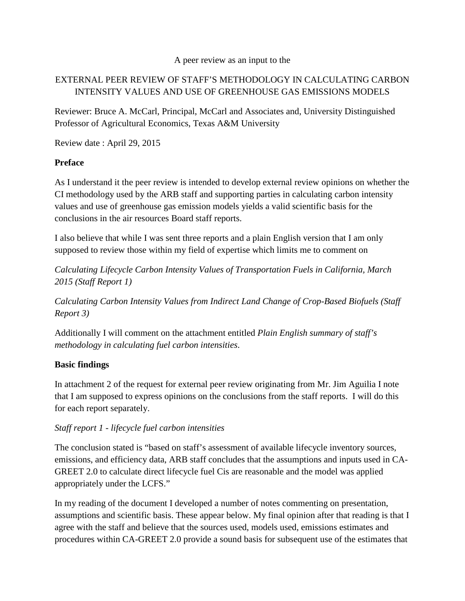#### A peer review as an input to the

# EXTERNAL PEER REVIEW OF STAFF'S METHODOLOGY IN CALCULATING CARBON INTENSITY VALUES AND USE OF GREENHOUSE GAS EMISSIONS MODELS

Reviewer: Bruce A. McCarl, Principal, McCarl and Associates and, University Distinguished Professor of Agricultural Economics, Texas A&M University

Review date : April 29, 2015

## **Preface**

As I understand it the peer review is intended to develop external review opinions on whether the CI methodology used by the ARB staff and supporting parties in calculating carbon intensity values and use of greenhouse gas emission models yields a valid scientific basis for the conclusions in the air resources Board staff reports.

I also believe that while I was sent three reports and a plain English version that I am only supposed to review those within my field of expertise which limits me to comment on

*Calculating Lifecycle Carbon Intensity Values of Transportation Fuels in California, March 2015 (Staff Report 1)*

*Calculating Carbon Intensity Values from Indirect Land Change of Crop-Based Biofuels (Staff Report 3)*

Additionally I will comment on the attachment entitled *Plain English summary of staff's methodology in calculating fuel carbon intensities*.

## **Basic findings**

In attachment 2 of the request for external peer review originating from Mr. Jim Aguilia I note that I am supposed to express opinions on the conclusions from the staff reports. I will do this for each report separately.

## *Staff report 1 - lifecycle fuel carbon intensities*

The conclusion stated is "based on staff's assessment of available lifecycle inventory sources, emissions, and efficiency data, ARB staff concludes that the assumptions and inputs used in CA-GREET 2.0 to calculate direct lifecycle fuel Cis are reasonable and the model was applied appropriately under the LCFS."

In my reading of the document I developed a number of notes commenting on presentation, assumptions and scientific basis. These appear below. My final opinion after that reading is that I agree with the staff and believe that the sources used, models used, emissions estimates and procedures within CA-GREET 2.0 provide a sound basis for subsequent use of the estimates that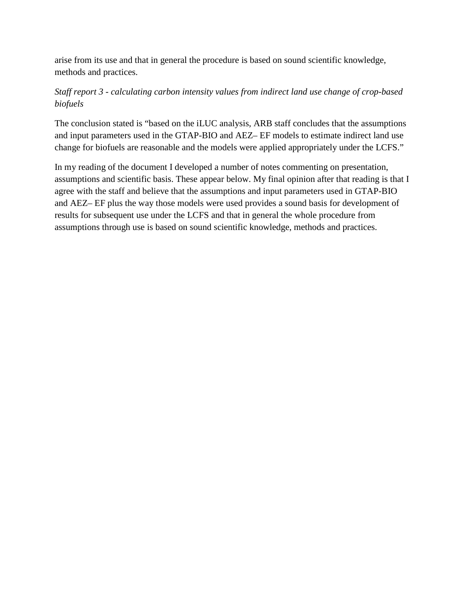arise from its use and that in general the procedure is based on sound scientific knowledge, methods and practices.

## *Staff report 3 - calculating carbon intensity values from indirect land use change of crop-based biofuels*

The conclusion stated is "based on the iLUC analysis, ARB staff concludes that the assumptions and input parameters used in the GTAP-BIO and AEZ– EF models to estimate indirect land use change for biofuels are reasonable and the models were applied appropriately under the LCFS."

In my reading of the document I developed a number of notes commenting on presentation, assumptions and scientific basis. These appear below. My final opinion after that reading is that I agree with the staff and believe that the assumptions and input parameters used in GTAP-BIO and AEZ– EF plus the way those models were used provides a sound basis for development of results for subsequent use under the LCFS and that in general the whole procedure from assumptions through use is based on sound scientific knowledge, methods and practices.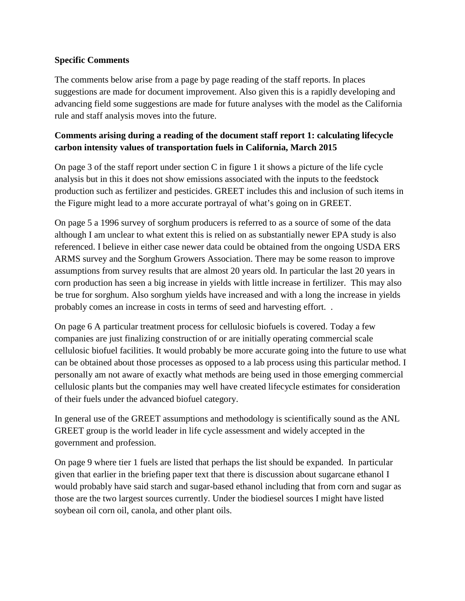#### **Specific Comments**

The comments below arise from a page by page reading of the staff reports. In places suggestions are made for document improvement. Also given this is a rapidly developing and advancing field some suggestions are made for future analyses with the model as the California rule and staff analysis moves into the future.

## **Comments arising during a reading of the document staff report 1: calculating lifecycle carbon intensity values of transportation fuels in California, March 2015**

On page 3 of the staff report under section C in figure 1 it shows a picture of the life cycle analysis but in this it does not show emissions associated with the inputs to the feedstock production such as fertilizer and pesticides. GREET includes this and inclusion of such items in the Figure might lead to a more accurate portrayal of what's going on in GREET.

On page 5 a 1996 survey of sorghum producers is referred to as a source of some of the data although I am unclear to what extent this is relied on as substantially newer EPA study is also referenced. I believe in either case newer data could be obtained from the ongoing USDA ERS ARMS survey and the Sorghum Growers Association. There may be some reason to improve assumptions from survey results that are almost 20 years old. In particular the last 20 years in corn production has seen a big increase in yields with little increase in fertilizer. This may also be true for sorghum. Also sorghum yields have increased and with a long the increase in yields probably comes an increase in costs in terms of seed and harvesting effort. .

On page 6 A particular treatment process for cellulosic biofuels is covered. Today a few companies are just finalizing construction of or are initially operating commercial scale cellulosic biofuel facilities. It would probably be more accurate going into the future to use what can be obtained about those processes as opposed to a lab process using this particular method. I personally am not aware of exactly what methods are being used in those emerging commercial cellulosic plants but the companies may well have created lifecycle estimates for consideration of their fuels under the advanced biofuel category.

In general use of the GREET assumptions and methodology is scientifically sound as the ANL GREET group is the world leader in life cycle assessment and widely accepted in the government and profession.

On page 9 where tier 1 fuels are listed that perhaps the list should be expanded. In particular given that earlier in the briefing paper text that there is discussion about sugarcane ethanol I would probably have said starch and sugar-based ethanol including that from corn and sugar as those are the two largest sources currently. Under the biodiesel sources I might have listed soybean oil corn oil, canola, and other plant oils.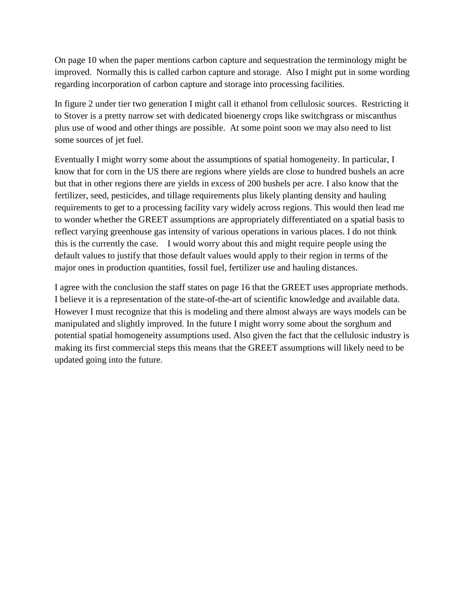On page 10 when the paper mentions carbon capture and sequestration the terminology might be improved. Normally this is called carbon capture and storage. Also I might put in some wording regarding incorporation of carbon capture and storage into processing facilities.

In figure 2 under tier two generation I might call it ethanol from cellulosic sources. Restricting it to Stover is a pretty narrow set with dedicated bioenergy crops like switchgrass or miscanthus plus use of wood and other things are possible. At some point soon we may also need to list some sources of jet fuel.

Eventually I might worry some about the assumptions of spatial homogeneity. In particular, I know that for corn in the US there are regions where yields are close to hundred bushels an acre but that in other regions there are yields in excess of 200 bushels per acre. I also know that the fertilizer, seed, pesticides, and tillage requirements plus likely planting density and hauling requirements to get to a processing facility vary widely across regions. This would then lead me to wonder whether the GREET assumptions are appropriately differentiated on a spatial basis to reflect varying greenhouse gas intensity of various operations in various places. I do not think this is the currently the case. I would worry about this and might require people using the default values to justify that those default values would apply to their region in terms of the major ones in production quantities, fossil fuel, fertilizer use and hauling distances.

I agree with the conclusion the staff states on page 16 that the GREET uses appropriate methods. I believe it is a representation of the state-of-the-art of scientific knowledge and available data. However I must recognize that this is modeling and there almost always are ways models can be manipulated and slightly improved. In the future I might worry some about the sorghum and potential spatial homogeneity assumptions used. Also given the fact that the cellulosic industry is making its first commercial steps this means that the GREET assumptions will likely need to be updated going into the future.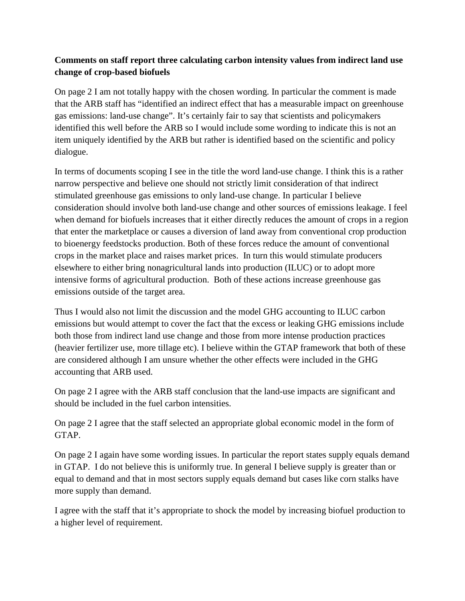## **Comments on staff report three calculating carbon intensity values from indirect land use change of crop-based biofuels**

On page 2 I am not totally happy with the chosen wording. In particular the comment is made that the ARB staff has "identified an indirect effect that has a measurable impact on greenhouse gas emissions: land-use change". It's certainly fair to say that scientists and policymakers identified this well before the ARB so I would include some wording to indicate this is not an item uniquely identified by the ARB but rather is identified based on the scientific and policy dialogue.

In terms of documents scoping I see in the title the word land-use change. I think this is a rather narrow perspective and believe one should not strictly limit consideration of that indirect stimulated greenhouse gas emissions to only land-use change. In particular I believe consideration should involve both land-use change and other sources of emissions leakage. I feel when demand for biofuels increases that it either directly reduces the amount of crops in a region that enter the marketplace or causes a diversion of land away from conventional crop production to bioenergy feedstocks production. Both of these forces reduce the amount of conventional crops in the market place and raises market prices. In turn this would stimulate producers elsewhere to either bring nonagricultural lands into production (ILUC) or to adopt more intensive forms of agricultural production. Both of these actions increase greenhouse gas emissions outside of the target area.

Thus I would also not limit the discussion and the model GHG accounting to ILUC carbon emissions but would attempt to cover the fact that the excess or leaking GHG emissions include both those from indirect land use change and those from more intense production practices (heavier fertilizer use, more tillage etc). I believe within the GTAP framework that both of these are considered although I am unsure whether the other effects were included in the GHG accounting that ARB used.

On page 2 I agree with the ARB staff conclusion that the land-use impacts are significant and should be included in the fuel carbon intensities.

On page 2 I agree that the staff selected an appropriate global economic model in the form of GTAP.

On page 2 I again have some wording issues. In particular the report states supply equals demand in GTAP. I do not believe this is uniformly true. In general I believe supply is greater than or equal to demand and that in most sectors supply equals demand but cases like corn stalks have more supply than demand.

I agree with the staff that it's appropriate to shock the model by increasing biofuel production to a higher level of requirement.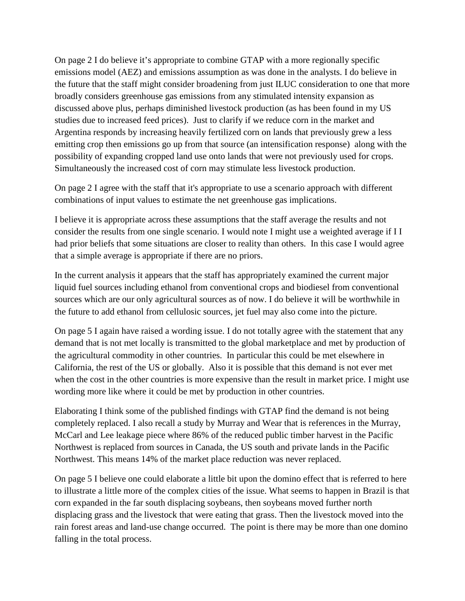On page 2 I do believe it's appropriate to combine GTAP with a more regionally specific emissions model (AEZ) and emissions assumption as was done in the analysts. I do believe in the future that the staff might consider broadening from just ILUC consideration to one that more broadly considers greenhouse gas emissions from any stimulated intensity expansion as discussed above plus, perhaps diminished livestock production (as has been found in my US studies due to increased feed prices). Just to clarify if we reduce corn in the market and Argentina responds by increasing heavily fertilized corn on lands that previously grew a less emitting crop then emissions go up from that source (an intensification response) along with the possibility of expanding cropped land use onto lands that were not previously used for crops. Simultaneously the increased cost of corn may stimulate less livestock production.

On page 2 I agree with the staff that it's appropriate to use a scenario approach with different combinations of input values to estimate the net greenhouse gas implications.

I believe it is appropriate across these assumptions that the staff average the results and not consider the results from one single scenario. I would note I might use a weighted average if I I had prior beliefs that some situations are closer to reality than others. In this case I would agree that a simple average is appropriate if there are no priors.

In the current analysis it appears that the staff has appropriately examined the current major liquid fuel sources including ethanol from conventional crops and biodiesel from conventional sources which are our only agricultural sources as of now. I do believe it will be worthwhile in the future to add ethanol from cellulosic sources, jet fuel may also come into the picture.

On page 5 I again have raised a wording issue. I do not totally agree with the statement that any demand that is not met locally is transmitted to the global marketplace and met by production of the agricultural commodity in other countries. In particular this could be met elsewhere in California, the rest of the US or globally. Also it is possible that this demand is not ever met when the cost in the other countries is more expensive than the result in market price. I might use wording more like where it could be met by production in other countries.

Elaborating I think some of the published findings with GTAP find the demand is not being completely replaced. I also recall a study by Murray and Wear that is references in the Murray, McCarl and Lee leakage piece where 86% of the reduced public timber harvest in the Pacific Northwest is replaced from sources in Canada, the US south and private lands in the Pacific Northwest. This means 14% of the market place reduction was never replaced.

On page 5 I believe one could elaborate a little bit upon the domino effect that is referred to here to illustrate a little more of the complex cities of the issue. What seems to happen in Brazil is that corn expanded in the far south displacing soybeans, then soybeans moved further north displacing grass and the livestock that were eating that grass. Then the livestock moved into the rain forest areas and land-use change occurred. The point is there may be more than one domino falling in the total process.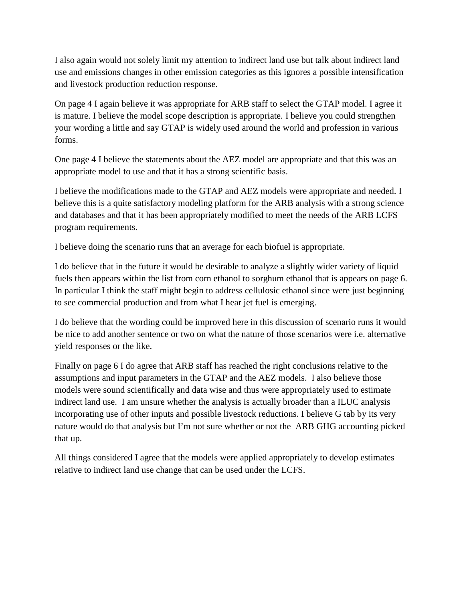I also again would not solely limit my attention to indirect land use but talk about indirect land use and emissions changes in other emission categories as this ignores a possible intensification and livestock production reduction response.

On page 4 I again believe it was appropriate for ARB staff to select the GTAP model. I agree it is mature. I believe the model scope description is appropriate. I believe you could strengthen your wording a little and say GTAP is widely used around the world and profession in various forms.

One page 4 I believe the statements about the AEZ model are appropriate and that this was an appropriate model to use and that it has a strong scientific basis.

I believe the modifications made to the GTAP and AEZ models were appropriate and needed. I believe this is a quite satisfactory modeling platform for the ARB analysis with a strong science and databases and that it has been appropriately modified to meet the needs of the ARB LCFS program requirements.

I believe doing the scenario runs that an average for each biofuel is appropriate.

I do believe that in the future it would be desirable to analyze a slightly wider variety of liquid fuels then appears within the list from corn ethanol to sorghum ethanol that is appears on page 6. In particular I think the staff might begin to address cellulosic ethanol since were just beginning to see commercial production and from what I hear jet fuel is emerging.

I do believe that the wording could be improved here in this discussion of scenario runs it would be nice to add another sentence or two on what the nature of those scenarios were i.e. alternative yield responses or the like.

Finally on page 6 I do agree that ARB staff has reached the right conclusions relative to the assumptions and input parameters in the GTAP and the AEZ models. I also believe those models were sound scientifically and data wise and thus were appropriately used to estimate indirect land use. I am unsure whether the analysis is actually broader than a ILUC analysis incorporating use of other inputs and possible livestock reductions. I believe G tab by its very nature would do that analysis but I'm not sure whether or not the ARB GHG accounting picked that up.

All things considered I agree that the models were applied appropriately to develop estimates relative to indirect land use change that can be used under the LCFS.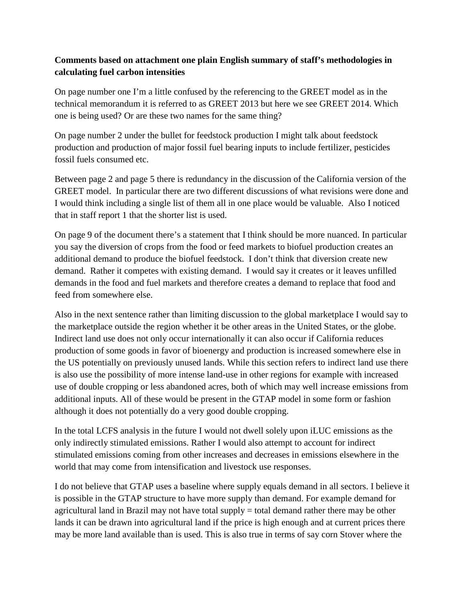### **Comments based on attachment one plain English summary of staff's methodologies in calculating fuel carbon intensities**

On page number one I'm a little confused by the referencing to the GREET model as in the technical memorandum it is referred to as GREET 2013 but here we see GREET 2014. Which one is being used? Or are these two names for the same thing?

On page number 2 under the bullet for feedstock production I might talk about feedstock production and production of major fossil fuel bearing inputs to include fertilizer, pesticides fossil fuels consumed etc.

Between page 2 and page 5 there is redundancy in the discussion of the California version of the GREET model. In particular there are two different discussions of what revisions were done and I would think including a single list of them all in one place would be valuable. Also I noticed that in staff report 1 that the shorter list is used.

On page 9 of the document there's a statement that I think should be more nuanced. In particular you say the diversion of crops from the food or feed markets to biofuel production creates an additional demand to produce the biofuel feedstock. I don't think that diversion create new demand. Rather it competes with existing demand. I would say it creates or it leaves unfilled demands in the food and fuel markets and therefore creates a demand to replace that food and feed from somewhere else.

Also in the next sentence rather than limiting discussion to the global marketplace I would say to the marketplace outside the region whether it be other areas in the United States, or the globe. Indirect land use does not only occur internationally it can also occur if California reduces production of some goods in favor of bioenergy and production is increased somewhere else in the US potentially on previously unused lands. While this section refers to indirect land use there is also use the possibility of more intense land-use in other regions for example with increased use of double cropping or less abandoned acres, both of which may well increase emissions from additional inputs. All of these would be present in the GTAP model in some form or fashion although it does not potentially do a very good double cropping.

In the total LCFS analysis in the future I would not dwell solely upon iLUC emissions as the only indirectly stimulated emissions. Rather I would also attempt to account for indirect stimulated emissions coming from other increases and decreases in emissions elsewhere in the world that may come from intensification and livestock use responses.

I do not believe that GTAP uses a baseline where supply equals demand in all sectors. I believe it is possible in the GTAP structure to have more supply than demand. For example demand for agricultural land in Brazil may not have total supply = total demand rather there may be other lands it can be drawn into agricultural land if the price is high enough and at current prices there may be more land available than is used. This is also true in terms of say corn Stover where the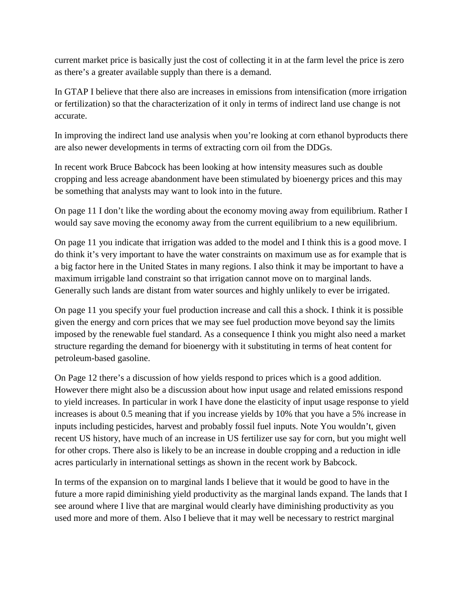current market price is basically just the cost of collecting it in at the farm level the price is zero as there's a greater available supply than there is a demand.

In GTAP I believe that there also are increases in emissions from intensification (more irrigation or fertilization) so that the characterization of it only in terms of indirect land use change is not accurate.

In improving the indirect land use analysis when you're looking at corn ethanol byproducts there are also newer developments in terms of extracting corn oil from the DDGs.

In recent work Bruce Babcock has been looking at how intensity measures such as double cropping and less acreage abandonment have been stimulated by bioenergy prices and this may be something that analysts may want to look into in the future.

On page 11 I don't like the wording about the economy moving away from equilibrium. Rather I would say save moving the economy away from the current equilibrium to a new equilibrium.

On page 11 you indicate that irrigation was added to the model and I think this is a good move. I do think it's very important to have the water constraints on maximum use as for example that is a big factor here in the United States in many regions. I also think it may be important to have a maximum irrigable land constraint so that irrigation cannot move on to marginal lands. Generally such lands are distant from water sources and highly unlikely to ever be irrigated.

On page 11 you specify your fuel production increase and call this a shock. I think it is possible given the energy and corn prices that we may see fuel production move beyond say the limits imposed by the renewable fuel standard. As a consequence I think you might also need a market structure regarding the demand for bioenergy with it substituting in terms of heat content for petroleum-based gasoline.

On Page 12 there's a discussion of how yields respond to prices which is a good addition. However there might also be a discussion about how input usage and related emissions respond to yield increases. In particular in work I have done the elasticity of input usage response to yield increases is about 0.5 meaning that if you increase yields by 10% that you have a 5% increase in inputs including pesticides, harvest and probably fossil fuel inputs. Note You wouldn't, given recent US history, have much of an increase in US fertilizer use say for corn, but you might well for other crops. There also is likely to be an increase in double cropping and a reduction in idle acres particularly in international settings as shown in the recent work by Babcock.

In terms of the expansion on to marginal lands I believe that it would be good to have in the future a more rapid diminishing yield productivity as the marginal lands expand. The lands that I see around where I live that are marginal would clearly have diminishing productivity as you used more and more of them. Also I believe that it may well be necessary to restrict marginal